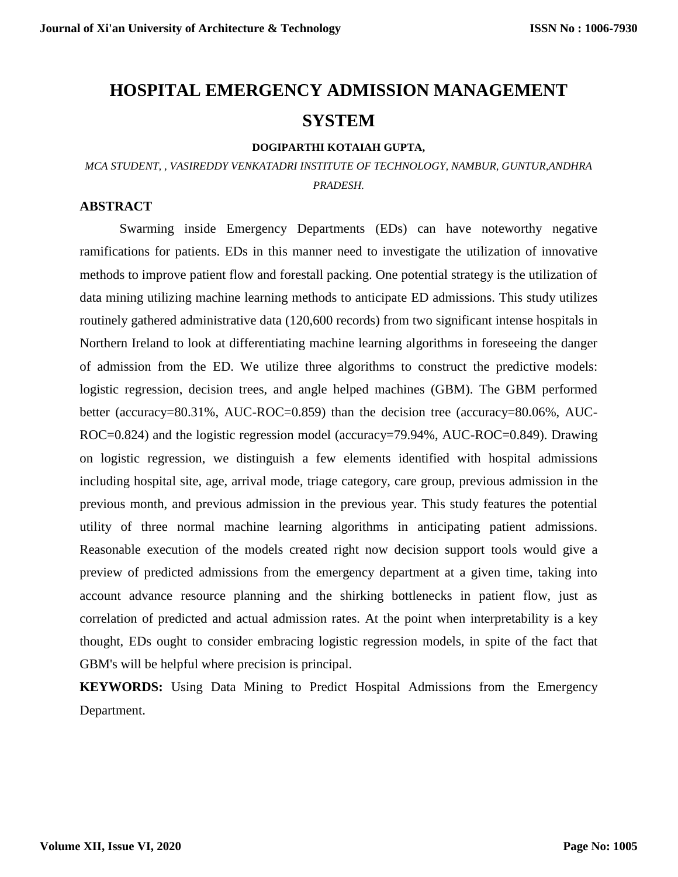# **HOSPITAL EMERGENCY ADMISSION MANAGEMENT SYSTEM**

#### **DOGIPARTHI KOTAIAH GUPTA,**

## *MCA STUDENT, , VASIREDDY VENKATADRI INSTITUTE OF TECHNOLOGY, NAMBUR, GUNTUR,ANDHRA PRADESH.*

#### **ABSTRACT**

Swarming inside Emergency Departments (EDs) can have noteworthy negative ramifications for patients. EDs in this manner need to investigate the utilization of innovative methods to improve patient flow and forestall packing. One potential strategy is the utilization of data mining utilizing machine learning methods to anticipate ED admissions. This study utilizes routinely gathered administrative data (120,600 records) from two significant intense hospitals in Northern Ireland to look at differentiating machine learning algorithms in foreseeing the danger of admission from the ED. We utilize three algorithms to construct the predictive models: logistic regression, decision trees, and angle helped machines (GBM). The GBM performed better (accuracy=80.31%, AUC-ROC=0.859) than the decision tree (accuracy=80.06%, AUC-ROC=0.824) and the logistic regression model (accuracy=79.94%, AUC-ROC=0.849). Drawing on logistic regression, we distinguish a few elements identified with hospital admissions including hospital site, age, arrival mode, triage category, care group, previous admission in the previous month, and previous admission in the previous year. This study features the potential utility of three normal machine learning algorithms in anticipating patient admissions. Reasonable execution of the models created right now decision support tools would give a preview of predicted admissions from the emergency department at a given time, taking into account advance resource planning and the shirking bottlenecks in patient flow, just as correlation of predicted and actual admission rates. At the point when interpretability is a key thought, EDs ought to consider embracing logistic regression models, in spite of the fact that GBM's will be helpful where precision is principal.

**KEYWORDS:** Using Data Mining to Predict Hospital Admissions from the Emergency Department.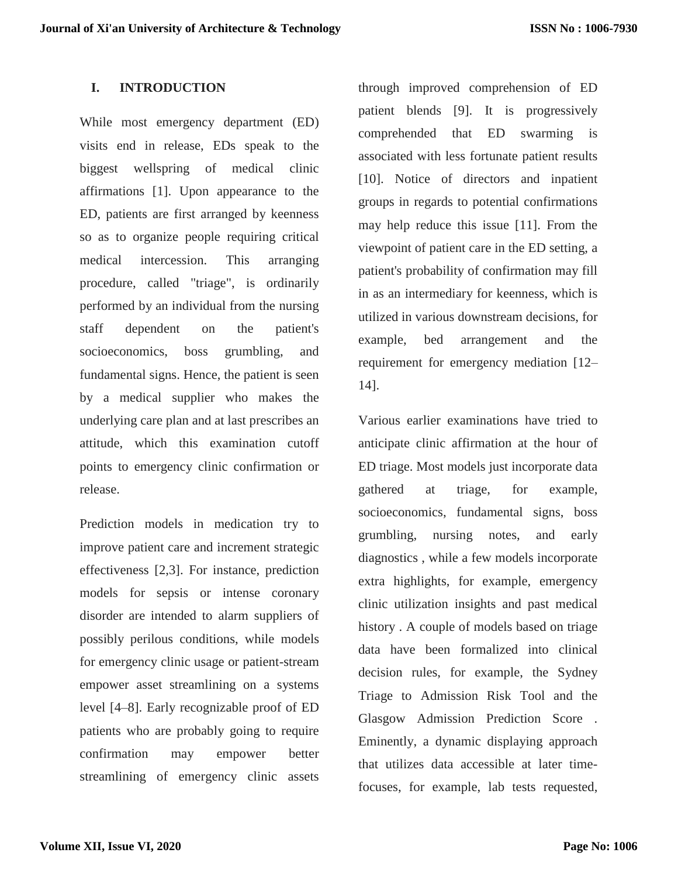## **I. INTRODUCTION**

While most emergency department (ED) visits end in release, EDs speak to the biggest wellspring of medical clinic affirmations [1]. Upon appearance to the ED, patients are first arranged by keenness so as to organize people requiring critical medical intercession. This arranging procedure, called "triage", is ordinarily performed by an individual from the nursing staff dependent on the patient's socioeconomics, boss grumbling, and fundamental signs. Hence, the patient is seen by a medical supplier who makes the underlying care plan and at last prescribes an attitude, which this examination cutoff points to emergency clinic confirmation or release.

Prediction models in medication try to improve patient care and increment strategic effectiveness [2,3]. For instance, prediction models for sepsis or intense coronary disorder are intended to alarm suppliers of possibly perilous conditions, while models for emergency clinic usage or patient-stream empower asset streamlining on a systems level [4–8]. Early recognizable proof of ED patients who are probably going to require confirmation may empower better streamlining of emergency clinic assets

through improved comprehension of ED patient blends [9]. It is progressively comprehended that ED swarming is associated with less fortunate patient results [10]. Notice of directors and inpatient groups in regards to potential confirmations may help reduce this issue [11]. From the viewpoint of patient care in the ED setting, a patient's probability of confirmation may fill in as an intermediary for keenness, which is utilized in various downstream decisions, for example, bed arrangement and the requirement for emergency mediation [12– 14].

Various earlier examinations have tried to anticipate clinic affirmation at the hour of ED triage. Most models just incorporate data gathered at triage, for example, socioeconomics, fundamental signs, boss grumbling, nursing notes, and early diagnostics , while a few models incorporate extra highlights, for example, emergency clinic utilization insights and past medical history . A couple of models based on triage data have been formalized into clinical decision rules, for example, the Sydney Triage to Admission Risk Tool and the Glasgow Admission Prediction Score . Eminently, a dynamic displaying approach that utilizes data accessible at later timefocuses, for example, lab tests requested,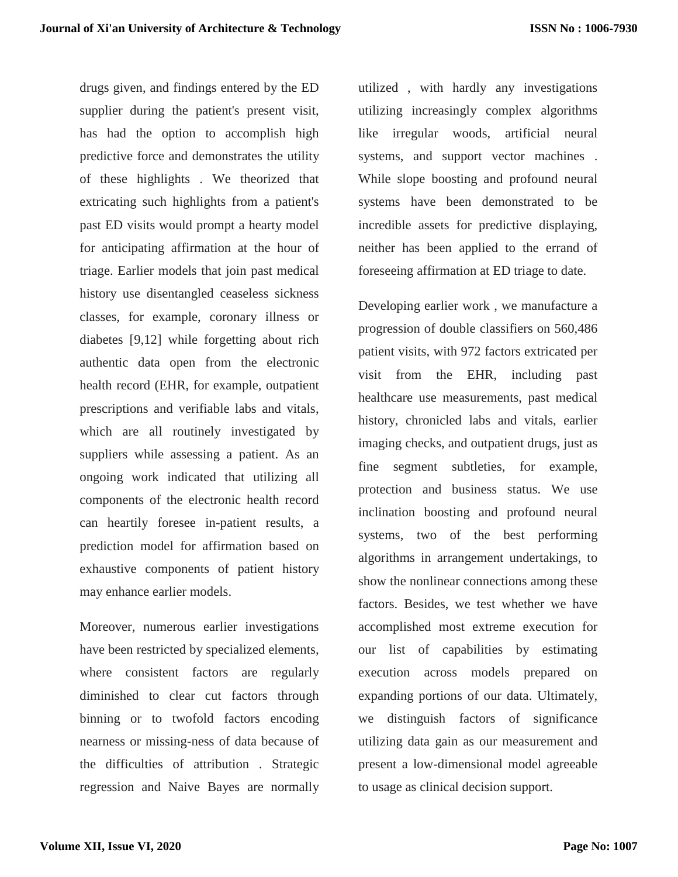drugs given, and findings entered by the ED supplier during the patient's present visit, has had the option to accomplish high predictive force and demonstrates the utility of these highlights . We theorized that extricating such highlights from a patient's past ED visits would prompt a hearty model for anticipating affirmation at the hour of triage. Earlier models that join past medical history use disentangled ceaseless sickness classes, for example, coronary illness or diabetes [9,12] while forgetting about rich authentic data open from the electronic health record (EHR, for example, outpatient prescriptions and verifiable labs and vitals, which are all routinely investigated by suppliers while assessing a patient. As an ongoing work indicated that utilizing all components of the electronic health record can heartily foresee in-patient results, a prediction model for affirmation based on exhaustive components of patient history may enhance earlier models.

Moreover, numerous earlier investigations have been restricted by specialized elements, where consistent factors are regularly diminished to clear cut factors through binning or to twofold factors encoding nearness or missing-ness of data because of the difficulties of attribution . Strategic regression and Naive Bayes are normally

utilized , with hardly any investigations utilizing increasingly complex algorithms like irregular woods, artificial neural systems, and support vector machines . While slope boosting and profound neural systems have been demonstrated to be incredible assets for predictive displaying, neither has been applied to the errand of foreseeing affirmation at ED triage to date.

Developing earlier work , we manufacture a progression of double classifiers on 560,486 patient visits, with 972 factors extricated per visit from the EHR, including past healthcare use measurements, past medical history, chronicled labs and vitals, earlier imaging checks, and outpatient drugs, just as fine segment subtleties, for example, protection and business status. We use inclination boosting and profound neural systems, two of the best performing algorithms in arrangement undertakings, to show the nonlinear connections among these factors. Besides, we test whether we have accomplished most extreme execution for our list of capabilities by estimating execution across models prepared on expanding portions of our data. Ultimately, we distinguish factors of significance utilizing data gain as our measurement and present a low-dimensional model agreeable to usage as clinical decision support.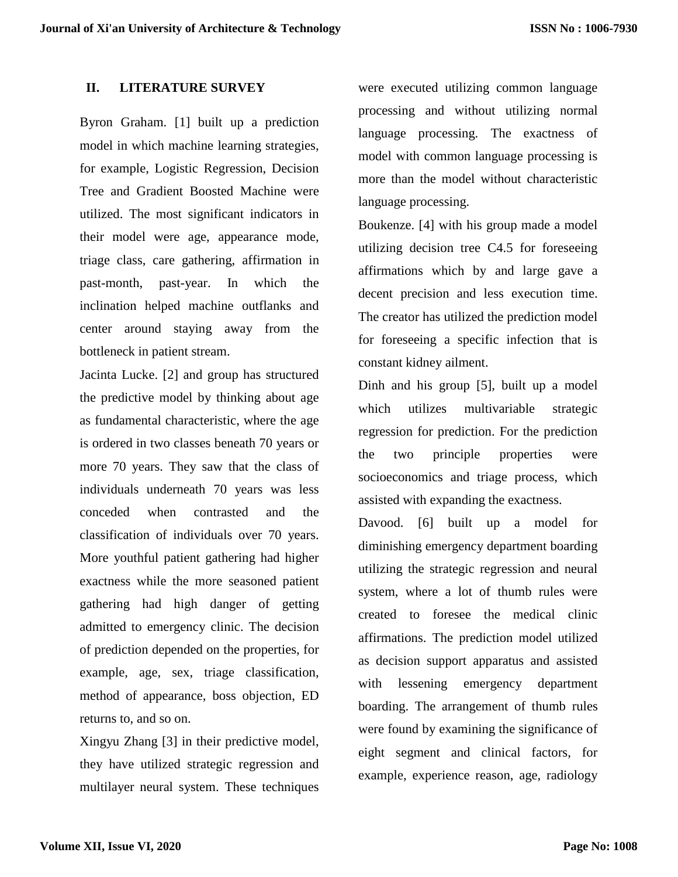## **II. LITERATURE SURVEY**

Byron Graham. [1] built up a prediction model in which machine learning strategies, for example, Logistic Regression, Decision Tree and Gradient Boosted Machine were utilized. The most significant indicators in their model were age, appearance mode, triage class, care gathering, affirmation in past-month, past-year. In which the inclination helped machine outflanks and center around staying away from the bottleneck in patient stream.

Jacinta Lucke. [2] and group has structured the predictive model by thinking about age as fundamental characteristic, where the age is ordered in two classes beneath 70 years or more 70 years. They saw that the class of individuals underneath 70 years was less conceded when contrasted and the classification of individuals over 70 years. More youthful patient gathering had higher exactness while the more seasoned patient gathering had high danger of getting admitted to emergency clinic. The decision of prediction depended on the properties, for example, age, sex, triage classification, method of appearance, boss objection, ED returns to, and so on.

Xingyu Zhang [3] in their predictive model, they have utilized strategic regression and multilayer neural system. These techniques

were executed utilizing common language processing and without utilizing normal language processing. The exactness of model with common language processing is more than the model without characteristic language processing.

Boukenze. [4] with his group made a model utilizing decision tree C4.5 for foreseeing affirmations which by and large gave a decent precision and less execution time. The creator has utilized the prediction model for foreseeing a specific infection that is constant kidney ailment.

Dinh and his group [5], built up a model which utilizes multivariable strategic regression for prediction. For the prediction the two principle properties were socioeconomics and triage process, which assisted with expanding the exactness.

Davood. [6] built up a model for diminishing emergency department boarding utilizing the strategic regression and neural system, where a lot of thumb rules were created to foresee the medical clinic affirmations. The prediction model utilized as decision support apparatus and assisted with lessening emergency department boarding. The arrangement of thumb rules were found by examining the significance of eight segment and clinical factors, for example, experience reason, age, radiology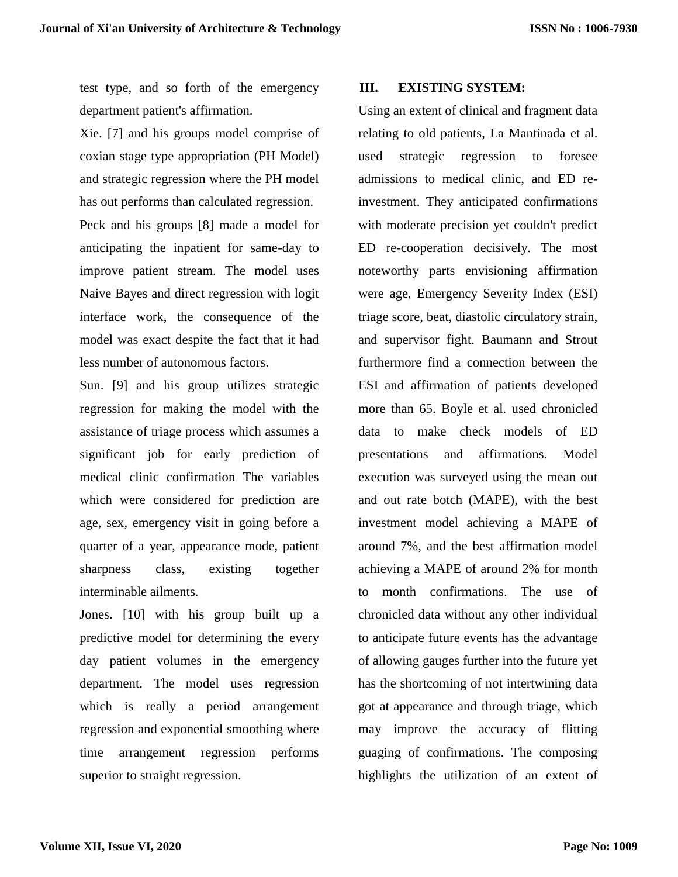test type, and so forth of the emergency department patient's affirmation.

Xie. [7] and his groups model comprise of coxian stage type appropriation (PH Model) and strategic regression where the PH model has out performs than calculated regression.

Peck and his groups [8] made a model for anticipating the inpatient for same-day to improve patient stream. The model uses Naive Bayes and direct regression with logit interface work, the consequence of the model was exact despite the fact that it had less number of autonomous factors.

Sun. [9] and his group utilizes strategic regression for making the model with the assistance of triage process which assumes a significant job for early prediction of medical clinic confirmation The variables which were considered for prediction are age, sex, emergency visit in going before a quarter of a year, appearance mode, patient sharpness class, existing together interminable ailments.

Jones. [10] with his group built up a predictive model for determining the every day patient volumes in the emergency department. The model uses regression which is really a period arrangement regression and exponential smoothing where time arrangement regression performs superior to straight regression.

## **III. EXISTING SYSTEM:**

Using an extent of clinical and fragment data relating to old patients, La Mantinada et al. used strategic regression to foresee admissions to medical clinic, and ED reinvestment. They anticipated confirmations with moderate precision yet couldn't predict ED re-cooperation decisively. The most noteworthy parts envisioning affirmation were age, Emergency Severity Index (ESI) triage score, beat, diastolic circulatory strain, and supervisor fight. Baumann and Strout furthermore find a connection between the ESI and affirmation of patients developed more than 65. Boyle et al. used chronicled data to make check models of ED presentations and affirmations. Model execution was surveyed using the mean out and out rate botch (MAPE), with the best investment model achieving a MAPE of around 7%, and the best affirmation model achieving a MAPE of around 2% for month to month confirmations. The use of chronicled data without any other individual to anticipate future events has the advantage of allowing gauges further into the future yet has the shortcoming of not intertwining data got at appearance and through triage, which may improve the accuracy of flitting guaging of confirmations. The composing highlights the utilization of an extent of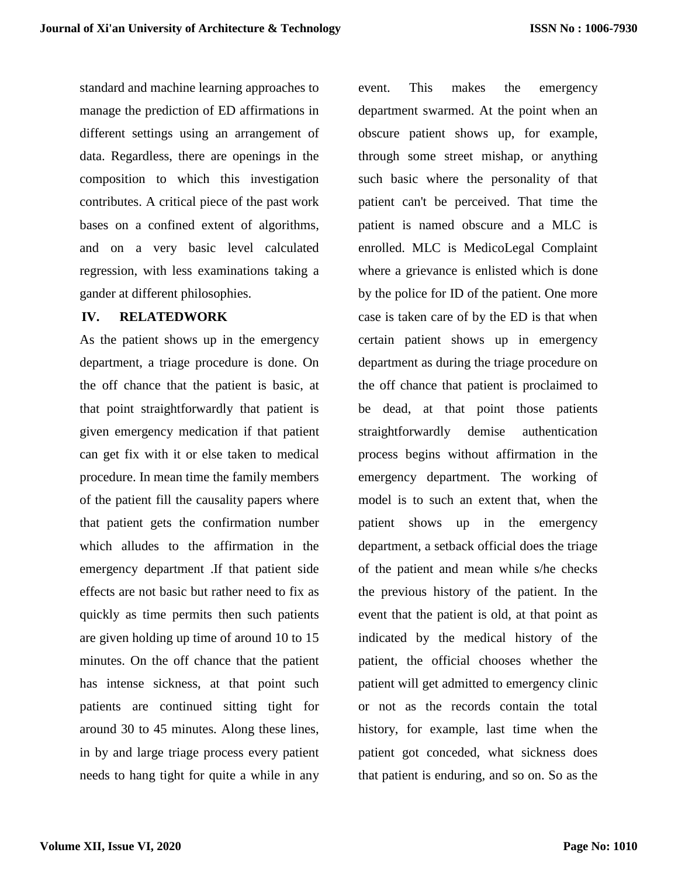standard and machine learning approaches to manage the prediction of ED affirmations in different settings using an arrangement of data. Regardless, there are openings in the composition to which this investigation contributes. A critical piece of the past work bases on a confined extent of algorithms, and on a very basic level calculated regression, with less examinations taking a gander at different philosophies.

## **IV. RELATEDWORK**

As the patient shows up in the emergency department, a triage procedure is done. On the off chance that the patient is basic, at that point straightforwardly that patient is given emergency medication if that patient can get fix with it or else taken to medical procedure. In mean time the family members of the patient fill the causality papers where that patient gets the confirmation number which alludes to the affirmation in the emergency department .If that patient side effects are not basic but rather need to fix as quickly as time permits then such patients are given holding up time of around 10 to 15 minutes. On the off chance that the patient has intense sickness, at that point such patients are continued sitting tight for around 30 to 45 minutes. Along these lines, in by and large triage process every patient needs to hang tight for quite a while in any

event. This makes the emergency department swarmed. At the point when an obscure patient shows up, for example, through some street mishap, or anything such basic where the personality of that patient can't be perceived. That time the patient is named obscure and a MLC is enrolled. MLC is MedicoLegal Complaint where a grievance is enlisted which is done by the police for ID of the patient. One more case is taken care of by the ED is that when certain patient shows up in emergency department as during the triage procedure on the off chance that patient is proclaimed to be dead, at that point those patients straightforwardly demise authentication process begins without affirmation in the emergency department. The working of model is to such an extent that, when the patient shows up in the emergency department, a setback official does the triage of the patient and mean while s/he checks the previous history of the patient. In the event that the patient is old, at that point as indicated by the medical history of the patient, the official chooses whether the patient will get admitted to emergency clinic or not as the records contain the total history, for example, last time when the patient got conceded, what sickness does that patient is enduring, and so on. So as the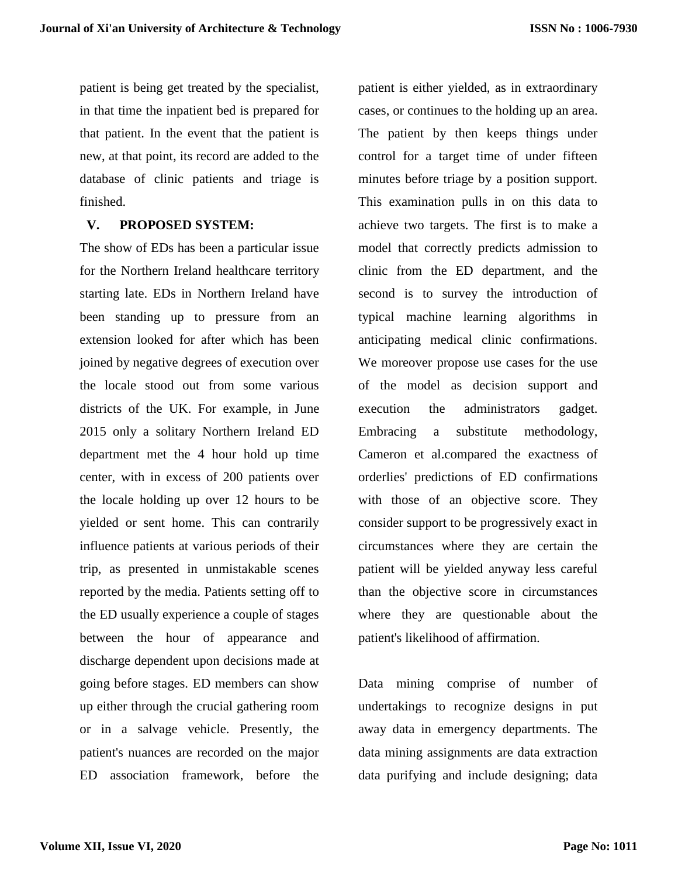patient is being get treated by the specialist, in that time the inpatient bed is prepared for that patient. In the event that the patient is new, at that point, its record are added to the database of clinic patients and triage is finished.

#### **V. PROPOSED SYSTEM:**

The show of EDs has been a particular issue for the Northern Ireland healthcare territory starting late. EDs in Northern Ireland have been standing up to pressure from an extension looked for after which has been joined by negative degrees of execution over the locale stood out from some various districts of the UK. For example, in June 2015 only a solitary Northern Ireland ED department met the 4 hour hold up time center, with in excess of 200 patients over the locale holding up over 12 hours to be yielded or sent home. This can contrarily influence patients at various periods of their trip, as presented in unmistakable scenes reported by the media. Patients setting off to the ED usually experience a couple of stages between the hour of appearance and discharge dependent upon decisions made at going before stages. ED members can show up either through the crucial gathering room or in a salvage vehicle. Presently, the patient's nuances are recorded on the major ED association framework, before the

patient is either yielded, as in extraordinary cases, or continues to the holding up an area. The patient by then keeps things under control for a target time of under fifteen minutes before triage by a position support. This examination pulls in on this data to achieve two targets. The first is to make a model that correctly predicts admission to clinic from the ED department, and the second is to survey the introduction of typical machine learning algorithms in anticipating medical clinic confirmations. We moreover propose use cases for the use of the model as decision support and execution the administrators gadget. Embracing a substitute methodology, Cameron et al.compared the exactness of orderlies' predictions of ED confirmations with those of an objective score. They consider support to be progressively exact in circumstances where they are certain the patient will be yielded anyway less careful than the objective score in circumstances where they are questionable about the patient's likelihood of affirmation.

Data mining comprise of number of undertakings to recognize designs in put away data in emergency departments. The data mining assignments are data extraction data purifying and include designing; data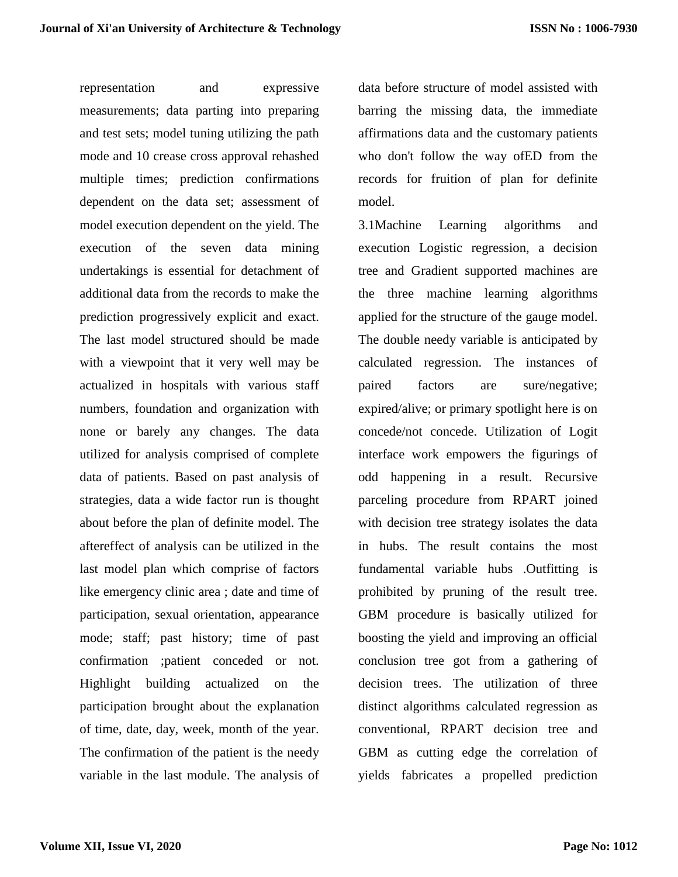representation and expressive measurements; data parting into preparing and test sets; model tuning utilizing the path mode and 10 crease cross approval rehashed multiple times; prediction confirmations dependent on the data set; assessment of model execution dependent on the yield. The execution of the seven data mining undertakings is essential for detachment of additional data from the records to make the prediction progressively explicit and exact. The last model structured should be made with a viewpoint that it very well may be actualized in hospitals with various staff numbers, foundation and organization with none or barely any changes. The data utilized for analysis comprised of complete data of patients. Based on past analysis of strategies, data a wide factor run is thought about before the plan of definite model. The aftereffect of analysis can be utilized in the last model plan which comprise of factors like emergency clinic area ; date and time of participation, sexual orientation, appearance mode; staff; past history; time of past confirmation ;patient conceded or not. Highlight building actualized on the participation brought about the explanation of time, date, day, week, month of the year. The confirmation of the patient is the needy variable in the last module. The analysis of

data before structure of model assisted with barring the missing data, the immediate affirmations data and the customary patients who don't follow the way ofED from the records for fruition of plan for definite model.

3.1Machine Learning algorithms and execution Logistic regression, a decision tree and Gradient supported machines are the three machine learning algorithms applied for the structure of the gauge model. The double needy variable is anticipated by calculated regression. The instances of paired factors are sure/negative; expired/alive; or primary spotlight here is on concede/not concede. Utilization of Logit interface work empowers the figurings of odd happening in a result. Recursive parceling procedure from RPART joined with decision tree strategy isolates the data in hubs. The result contains the most fundamental variable hubs .Outfitting is prohibited by pruning of the result tree. GBM procedure is basically utilized for boosting the yield and improving an official conclusion tree got from a gathering of decision trees. The utilization of three distinct algorithms calculated regression as conventional, RPART decision tree and GBM as cutting edge the correlation of yields fabricates a propelled prediction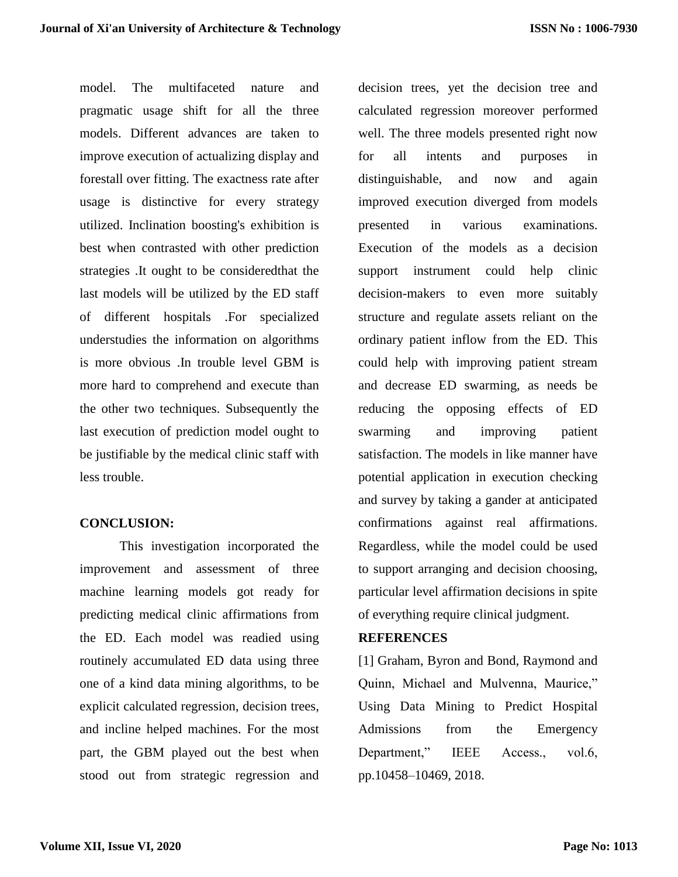model. The multifaceted nature and pragmatic usage shift for all the three models. Different advances are taken to improve execution of actualizing display and forestall over fitting. The exactness rate after usage is distinctive for every strategy utilized. Inclination boosting's exhibition is best when contrasted with other prediction strategies .It ought to be consideredthat the last models will be utilized by the ED staff of different hospitals .For specialized understudies the information on algorithms is more obvious .In trouble level GBM is more hard to comprehend and execute than the other two techniques. Subsequently the last execution of prediction model ought to be justifiable by the medical clinic staff with less trouble.

#### **CONCLUSION:**

This investigation incorporated the improvement and assessment of three machine learning models got ready for predicting medical clinic affirmations from the ED. Each model was readied using routinely accumulated ED data using three one of a kind data mining algorithms, to be explicit calculated regression, decision trees, and incline helped machines. For the most part, the GBM played out the best when stood out from strategic regression and

decision trees, yet the decision tree and calculated regression moreover performed well. The three models presented right now for all intents and purposes in distinguishable, and now and again improved execution diverged from models presented in various examinations. Execution of the models as a decision support instrument could help clinic decision-makers to even more suitably structure and regulate assets reliant on the ordinary patient inflow from the ED. This could help with improving patient stream and decrease ED swarming, as needs be reducing the opposing effects of ED swarming and improving patient satisfaction. The models in like manner have potential application in execution checking and survey by taking a gander at anticipated confirmations against real affirmations. Regardless, while the model could be used to support arranging and decision choosing, particular level affirmation decisions in spite of everything require clinical judgment.

#### **REFERENCES**

[1] Graham, Byron and Bond, Raymond and Quinn, Michael and Mulvenna, Maurice," Using Data Mining to Predict Hospital Admissions from the Emergency Department," IEEE Access., vol.6, pp.10458–10469, 2018.